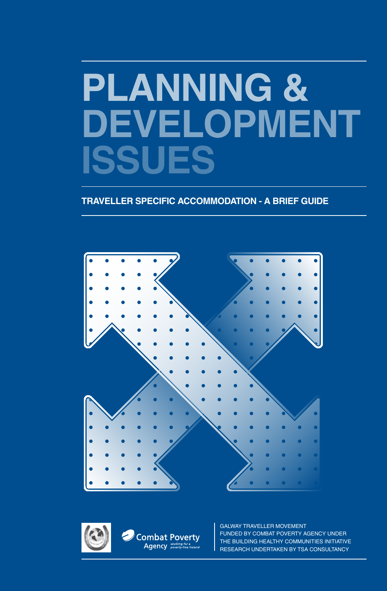# **Planning & Development ISSUES**

**TRAVELLER SPECIFIC ACCOMMODATION - A Brief Guide**





Galway Traveller Movement FUNDED BY COMBAT POVERTY AGENCY UNDER THE BUILDING HEALTHY COMMUNITIES INITIATIVE RESEARCH UNDERTAKEN BY TSA CONSULTANCY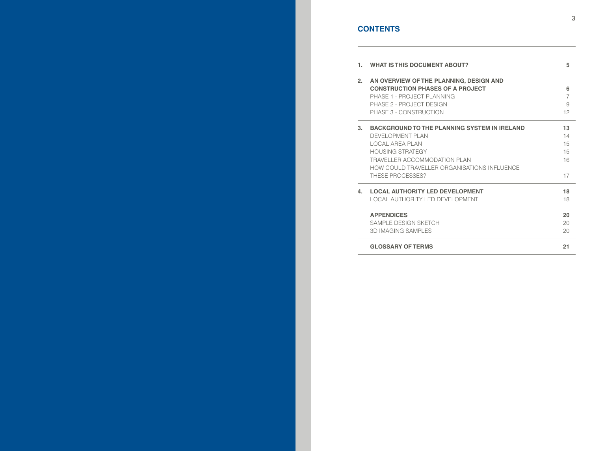# **CONTENT S**

| 1.   | <b>WHAT IS THIS DOCUMENT ABOUT?</b>                                                                                                                                                                                             | 5                                |
|------|---------------------------------------------------------------------------------------------------------------------------------------------------------------------------------------------------------------------------------|----------------------------------|
| 2.   | AN OVERVIEW OF THE PLANNING, DESIGN AND<br><b>CONSTRUCTION PHASES OF A PROJECT</b><br>PHASE 1 - PROJECT PLANNING<br>PHASE 2 - PROJECT DESIGN<br>PHASE 3 - CONSTRUCTION                                                          | 6<br>7<br>9<br>12                |
| $3-$ | <b>BACKGROUND TO THE PLANNING SYSTEM IN IRELAND</b><br>DEVELOPMENT PLAN<br>LOCAL AREA PLAN<br><b>HOUSING STRATEGY</b><br><b>TRAVELLER ACCOMMODATION PLAN</b><br>HOW COULD TRAVELLER ORGANISATIONS INFLUENCE<br>THESE PROCESSES? | 13<br>14<br>15<br>15<br>16<br>17 |
| 4.   | <b>LOCAL AUTHORITY LED DEVELOPMENT</b><br>LOCAL AUTHORITY LED DEVELOPMENT                                                                                                                                                       | 18<br>18                         |
|      | <b>APPENDICES</b><br>SAMPLE DESIGN SKETCH<br><b>3D IMAGING SAMPLES</b>                                                                                                                                                          | 20<br>20<br>20                   |
|      | <b>GLOSSARY OF TERMS</b>                                                                                                                                                                                                        | 21                               |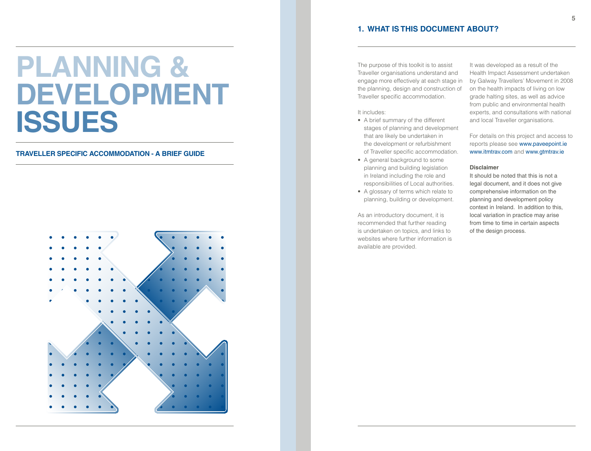# **Planning & Development ISSUES**

# **TRAVELLER SPECIFIC ACCOMMODATION - A Brief Guide**



# **1. What is this document about?**

The purpose of this toolkit is to assist Traveller organisations understand and engage more effectively at each stage in the planning, design and construction of Traveller specific accommodation.

# It includes:

- A brief summary of the different stages of planning and development that are likely be undertaken in the development or refurbishment of Traveller specific accommodation.
- A general background to some planning and building legislation in Ireland including the role and responsibilities of Local authorities.
- A glossary of terms which relate to planning, building or development.

As an introductory document, it is recommended that further reading is undertaken on topics, and links to websites where further information is available are provided.

It was developed as a result of the Health Impact Assessment undertaken by Galway Travellers' Movement in 2008 on the health impacts of living on low grade halting sites, as well as advice from public and environmental health experts, and consultations with national and local Traveller organisations.

For details on this project and access to reports please see www.paveepoint.ie www.itmtrav.com and www.gtmtrav.ie

# **Disclaimer**

It should be noted that this is not a legal document, and it does not give comprehensive information on the planning and development policy context in Ireland. In addition to this, local variation in practice may arise from time to time in certain aspects of the design process.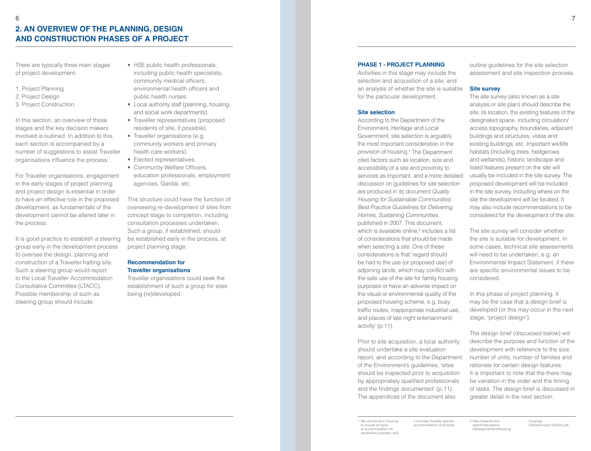# **2. An overview of the planning, design and construction phases of a project**

There are typically three main stages of project development:

- 1. Project Planning
- 2. Project Design
- 3. Project Construction.

In this section, an overview of these stages and the key decision makers involved is outlined. In addition to this, each section is accompanied by a number of suggestions to assist Traveller organisations influence the process.

For Traveller organisations, engagement in the early stages of project planning and project design is essential in order to have an effective role in the proposed development, as fundamentals of the development cannot be altered later in the process.

It is good practice to establish a steering group early in the development process to oversee the design, planning and construction of a Traveller halting site. Such a steering group would report to the Local Traveller Accommodation Consultative Committee (LTACC). Possible membership of such as steering group should include:

- HSE public health professionals, including public health specialists, community medical officers, environmental health officers and public health nurses.
- Local authority staff (planning, housing, and social work departments).
- Traveller representatives (proposed residents of site, if possible).
- Traveller organisations (e.g. community workers and primary health care workers).
- Elected representatives.
- Community Welfare Officers, education professionals, employment agencies, Gardaí, etc.

This structure could have the function of overseeing re-development of sites from concept stage to completion, including consultation processes undertaken. Such a group, if established, should be established early in the process, at project planning stage.

## **Recommendation for Traveller organisations**

Traveller organisations could seek the establishment of such a group for sites being (re)developed.

#### **PHASE 1 - PROJECT PLANNING**

Activities in this stage may include the selection and acquisition of a site, and an analysis of whether the site is suitable for the particular development.

#### **Site selection**

According to the Department of the Environment, Heritage and Local Government, site selection is arguably the most important consideration in the provision of housing.1 The Department cites factors such as location, size and accessibility of a site and proximity to services as important, and a more detailed discussion on guidelines for site selection are produced in its document Quality Housing for Sustainable Communities: Best Practice Guidelines for Delivering Homes, Sustaining Communities, published in 2007. This document, which is available online,<sup>2</sup> includes a list of considerations that should be made when selecting a site. One of these considerations is that 'regard should be had to the use (or proposed use) of adjoining lands, which may conflict with the safe use of the site for family housing purposes or have an adverse impact on the visual or environmental quality of the proposed housing scheme, e.g. busy traffic routes, inappropriate industrial use, and places of late night entertainment/ activity' (p.11).

Prior to site acquisition, a local authority should undertake a site evaluation report, and according to the Department of the Environment's guidelines, 'sites should be inspected prior to acquisition by appropriately qualified professionals and the findings documented' (p.11). The appendices of the document also

outline guidelines for the site selection assessment and site inspection process.

## **Site survey**

The site survey (also known as a site analysis or site plan) should describe the site, its location, the existing features of the designated space, including circulation/ access topography, boundaries, adjacent buildings and structures, vistas and existing buildings, etc. Important wildlife habitats (including trees, hedgerows and wetlands), historic landscape and listed features present on the site will usually be included in the site survey. The proposed development will be included in the site survey, including where on the site the development will be located. It may also include recommendations to be considered for the development of the site.

The site survey will consider whether the site is suitable for development. In some cases, technical site assessments will need to be undertaken, e.g. an Environmental Impact Statement, if there are specific environmental issues to be considered.

In this phase of project planning, it may be the case that a design brief is developed (or this may occur in the next stage, 'project design').

The design brief (discussed below) will describe the purpose and function of the development with reference to the size, number of units, number of families and rationale for certain design features. It is important to note that the there may be variation in the order and the timing of tasks. The design brief is discussed in greater detail in the next section.

Housing/

 FileDownLoad,1979,en.pdf

1 We use the term 'housing to include all types of accommodation for residential purposes, and it includes Traveller specific accommodation of all types. 2 http://www.environ. ie/en/Publications/ DevelopmentandHousing/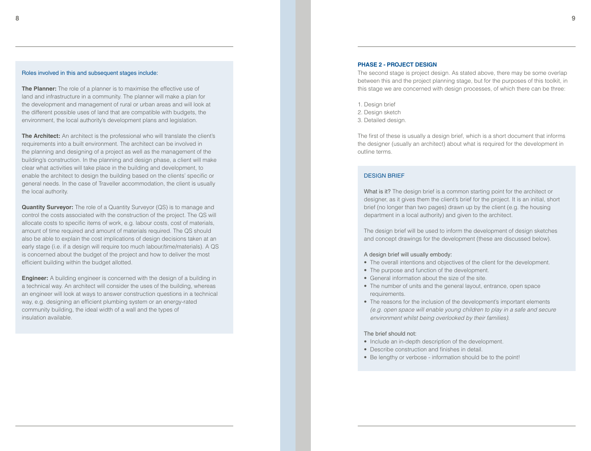#### Roles involved in this and subsequent stages include:

**The Planner:** The role of a planner is to maximise the effective use of land and infrastructure in a community. The planner will make a plan for the development and management of rural or urban areas and will look at the different possible uses of land that are compatible with budgets, the environment, the local authority's development plans and legislation.

**The Architect:** An architect is the professional who will translate the client's requirements into a built environment. The architect can be involved in the planning and designing of a project as well as the management of the building's construction. In the planning and design phase, a client will make clear what activities will take place in the building and development, to enable the architect to design the building based on the clients' specific or general needs. In the case of Traveller accommodation, the client is usually the local authority.

**Quantity Surveyor:** The role of a Quantity Surveyor (QS) is to manage and control the costs associated with the construction of the project. The QS will allocate costs to specific items of work, e.g. labour costs, cost of materials, amount of time required and amount of materials required. The QS should also be able to explain the cost implications of design decisions taken at an early stage (i.e. if a design will require too much labour/time/materials). A QS is concerned about the budget of the project and how to deliver the most efficient building within the budget allotted.

**Engineer:** A building engineer is concerned with the design of a building in a technical way. An architect will consider the uses of the building, whereas an engineer will look at ways to answer construction questions in a technical way, e.g. designing an efficient plumbing system or an energy-rated community building, the ideal width of a wall and the types of insulation available.

## **PHASE 2 - PROJECT DESIGN**

The second stage is project design. As stated above, there may be some overlap between this and the project planning stage, but for the purposes of this toolkit, in this stage we are concerned with design processes, of which there can be three:

- 1. Design brief
- 2. Design sketch
- 3. Detailed design.

The first of these is usually a design brief, which is a short document that informs the designer (usually an architect) about what is required for the development in outline terms.

#### DESIGN BRIEF

What is it? The design brief is a common starting point for the architect or designer, as it gives them the client's brief for the project. It is an initial, short brief (no longer than two pages) drawn up by the client (e.g. the housing department in a local authority) and given to the architect.

The design brief will be used to inform the development of design sketches and concept drawings for the development (these are discussed below).

#### A design brief will usually embody:

- The overall intentions and objectives of the client for the development.
- The purpose and function of the development.
- General information about the size of the site.
- The number of units and the general layout, entrance, open space requirements.
- The reasons for the inclusion of the development's important elements (e.g. open space will enable young children to play in a safe and secure environment whilst being overlooked by their families).

#### The brief should not:

- Include an in-depth description of the development.
- Describe construction and finishes in detail.
- Be lengthy or verbose information should be to the point!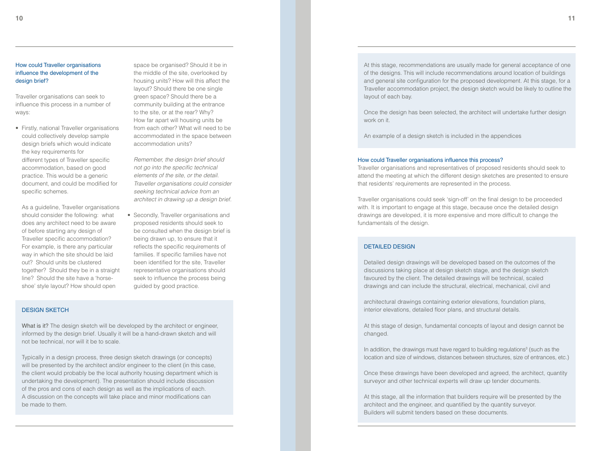design brief?

ways:

Traveller organisations can seek to influence this process in a number of

• Firstly, national Traveller organisations could collectively develop sample design briefs which would indicate the key requirements for different types of Traveller specific accommodation, based on good practice. This would be a generic document, and could be modified for specific schemes.

As a guideline, Traveller organisations should consider the following: what does any architect need to be aware of before starting any design of Traveller specific accommodation? For example, is there any particular way in which the site should be laid out? Should units be clustered together? Should they be in a straight line? Should the site have a 'horse- shoe' style layout? How should open

 space be organised? Should it be in the middle of the site, overlooked by housing units? How will this affect the layout? Should there be one single green space? Should there be a community building at the entrance to the site, or at the rear? Why? How far apart will housing units be from each other? What will need to be accommodated in the space between accommodation units?

Remember, the design brief should not go into the specific technical elements of the site, or the detail. Traveller organisations could consider seeking technical advice from an architect in drawing up a design brief.

• Secondly, Traveller organisations and proposed residents should seek to be consulted when the design brief is being drawn up, to ensure that it reflects the specific requirements of families. If specific families have not been identified for the site, Traveller representative organisations should seek to influence the process being guided by good practice.

## DESIGN SKETCH

What is it? The design sketch will be developed by the architect or engineer, informed by the design brief. Usually it will be a hand-drawn sketch and will not be technical, nor will it be to scale.

Typically in a design process, three design sketch drawings (or concepts) will be presented by the architect and/or engineer to the client (in this case, the client would probably be the local authority housing department which is undertaking the development). The presentation should include discussion of the pros and cons of each design as well as the implications of each. A discussion on the concepts will take place and minor modifications can be made to them.

At this stage, recommendations are usually made for general acceptance of one of the designs. This will include recommendations around location of buildings and general site configuration for the proposed development. At this stage, for a Traveller accommodation project, the design sketch would be likely to outline the layout of each bay.

Once the design has been selected, the architect will undertake further design work on it.

An example of a design sketch is included in the appendices

#### How could Traveller organisations influence this process?

Traveller organisations and representatives of proposed residents should seek to attend the meeting at which the different design sketches are presented to ensure that residents' requirements are represented in the process.

Traveller organisations could seek 'sign-off' on the final design to be proceeded with. It is important to engage at this stage, because once the detailed design drawings are developed, it is more expensive and more difficult to change the fundamentals of the design.

#### DETAILED DESIGN

Detailed design drawings will be developed based on the outcomes of the discussions taking place at design sketch stage, and the design sketch favoured by the client. The detailed drawings will be technical, scaled drawings and can include the structural, electrical, mechanical, civil and

architectural drawings containing exterior elevations, foundation plans, interior elevations, detailed floor plans, and structural details.

At this stage of design, fundamental concepts of layout and design cannot be changed.

In addition, the drawings must have regard to building regulations<sup>3</sup> (such as the location and size of windows, distances between structures, size of entrances, etc.)

Once these drawings have been developed and agreed, the architect, quantity surveyor and other technical experts will draw up tender documents.

At this stage, all the information that builders require will be presented by the architect and the engineer, and quantified by the quantity surveyor. Builders will submit tenders based on these documents.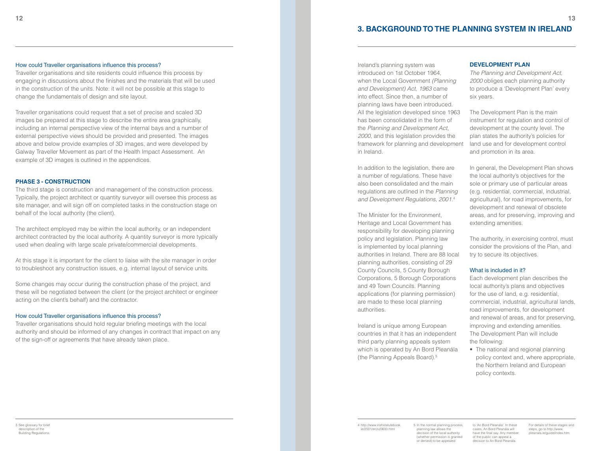# **3. Background to the planning system in Ireland**

#### How could Traveller organisations influence this process?

Traveller organisations and site residents could influence this process by engaging in discussions about the finishes and the materials that will be used in the construction of the units. Note: it will not be possible at this stage to change the fundamentals of design and site layout.

Traveller organisations could request that a set of precise and scaled 3D images be prepared at this stage to describe the entire area graphically, including an internal perspective view of the internal bays and a number of external perspective views should be provided and presented. The images above and below provide examples of 3D images, and were developed by Galway Traveller Movement as part of the Health Impact Assessment. An example of 3D images is outlined in the appendices.

#### **PHASE 3 - CONSTRUCTION**

The third stage is construction and management of the construction process. Typically, the project architect or quantity surveyor will oversee this process as site manager, and will sign off on completed tasks in the construction stage on behalf of the local authority (the client).

The architect employed may be within the local authority, or an independent architect contracted by the local authority. A quantity surveyor is more typically used when dealing with large scale private/commercial developments.

At this stage it is important for the client to liaise with the site manager in order to troubleshoot any construction issues, e.g. internal layout of service units.

Some changes may occur during the construction phase of the project, and these will be negotiated between the client (or the project architect or engineer acting on the client's behalf) and the contractor.

#### How could Traveller organisations influence this process?

Traveller organisations should hold regular briefing meetings with the local authority and should be informed of any changes in contract that impact on any of the sign-off or agreements that have already taken place.

Ireland's planning system was introduced on 1st October 1964, when the Local Government (Planning and Development) Act, 1963 came into effect. Since then, a number of planning laws have been introduced. All the legislation developed since 1963 has been consolidated in the form of the Planning and Development Act, 2000, and this legislation provides the framework for planning and development in Ireland.

In addition to the legislation, there are a number of regulations. These have also been consolidated and the main regulations are outlined in the Planning and Development Regulations, 2001.<sup>4</sup>

The Minister for the Environment, Heritage and Local Government has responsibility for developing planning policy and legislation. Planning law is implemented by local planning authorities in Ireland. There are 88 local planning authorities, consisting of 29 County Councils, 5 County Borough Corporations, 5 Borough Corporations and 49 Town Councils. Planning applications (for planning permission) are made to these local planning authorities.

Ireland is unique among European countries in that it has an independent third party planning appeals system which is operated by An Bord Pleanála (the Planning Appeals Board).<sup>5</sup>

#### **DEVELOPMENT PLAN**

The Planning and Development Act, 2000 obliges each planning authority to produce a 'Development Plan' every six years.

The Development Plan is the main instrument for regulation and control of development at the county level. The plan states the authority's policies for land use and for development control and promotion in its area.

In general, the Development Plan shows the local authority's objectives for the sole or primary use of particular areas (e.g. residential, commercial, industrial, agricultural), for road improvements, for development and renewal of obsolete areas, and for preserving, improving and extending amenities.

The authority, in exercising control, must consider the provisions of the Plan, and try to secure its objectives.

#### What is included in it?

Each development plan describes the local authority's plans and objectives for the use of land, e.g. residential, commercial, industrial, agricultural lands, road improvements, for development and renewal of areas, and for preserving, improving and extending amenities. The Development Plan will include the following:

• The national and regional planning policy context and, where appropriate, the Northern Ireland and European policy contexts.

4 http://www.irishstatutebook. ie/2001/en/si/0600.html 5 In the normal planning process,

 planning law allows the decision of the local authority (whether permission is granted or denied) to be appealed to 'An Bord Pleanála'. In these cases, An Bord Pleanála will have the final say. Any member of the public can appeal a decision to An Bord Pleanála.

 For details of these stages and steps, go to http://www. pleanala.ie/guide/index.htm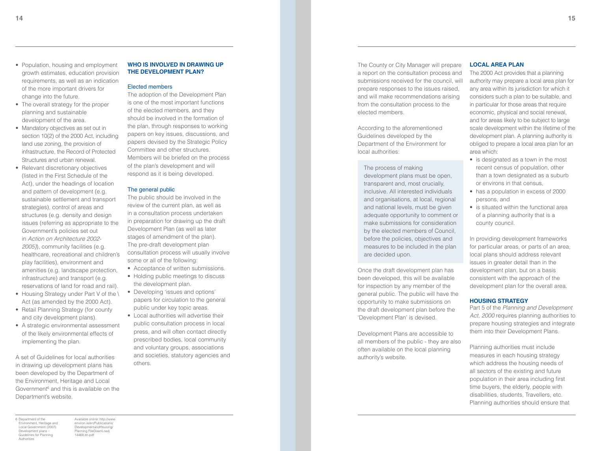- Population, housing and employment growth estimates, education provision requirements, as well as an indication of the more important drivers for change into the future.
- The overall strategy for the proper planning and sustainable development of the area.
- Mandatory objectives as set out in section 10(2) of the 2000 Act, including land use zoning, the provision of infrastructure, the Record of Protected Structures and urban renewal.
- Relevant discretionary objectives (listed in the First Schedule of the Act), under the headings of location and pattern of development (e.g. sustainable settlement and transport strategies), control of areas and structures (e.g. density and design issues (referring as appropriate to the Government's policies set out in Action on Architecture 2002- 2005)), community facilities (e.g. healthcare, recreational and children's play facilities), environment and amenities (e.g. landscape protection, infrastructure) and transport (e.g. reservations of land for road and rail).
- Housing Strategy under Part V of the \ Act (as amended by the 2000 Act).
- Retail Planning Strategy (for county and city development plans).
- A strategic environmental assessment of the likely environmental effects of implementing the plan.

A set of Guidelines for local authorities in drawing up development plans has been developed by the Department of the Environment, Heritage and Local Government <sup>6</sup> and this is available on the Department's website.

# **WHO IS INVOLVED IN DRAWING U the Develo pment Plan?**

#### Elected members

The adoption of the Development Plan is one of the most important functions of the elected members, and they should be involved in the formation of the plan, through responses to working papers on key issues, discussions, and papers devised by the Strategic Policy Committee and other structures. Members will be briefed on the process of the plan's development and will respond as it is being developed.

#### The general public

The public should be involved in the review of the current plan, as well as in a consultation process undertaken in preparation for drawing up the draft Development Plan (as well as later stages of amendment of the plan). The pre-draft development plan consultation process will usually involve some or all of the following:

- Acceptance of written submissions.
- Holding public meetings to discuss the development plan.
- Developing 'issues and options' papers for circulation to the general public under key topic areas.
- Local authorities will advertise their public consultation process in local press, and will often contact directly prescribed bodies, local community and voluntary groups, associations and societies, statutory agencies and others.

The County or City Manager will prepare a report on the consultation process and submissions received for the council, will prepare responses to the issues raised, and will make recommendations arising from the consultation process to the elected members.

According to the aforementioned Guidelines developed by the Department of the Environment for local authorities:

The process of making development plans must be open, transparent and, most crucially, inclusive. All interested individuals and organisations, at local, regional and national levels, must be given adequate opportunity to comment or make submissions for consideration by the elected members of Council, before the policies, objectives and measures to be included in the plan are decided upon.

Once the draft development plan has been developed, this will be available for inspection by any member of the general public. The public will have the opportunity to make submissions on the draft development plan before the 'Development Plan' is devised.

Development Plans are accessible to all members of the public - they are also often available on the local planning authority's website.

#### LOCAL AREA PL

The 2000 Act provides that a planning authority may prepare a local area plan for any area within its jurisdiction for which it considers such a plan to be suitable, and in particular for those areas that require economic, physical and social renewal, and for areas likely to be subject to large scale development within the lifetime of the development plan. A planning authority is obliged to prepare a local area plan for an area which:

- is designated as a town in the most recent census of population, other than a town designated as a suburb or environs in that census,
- has a population in excess of 2000 persons, and
- is situated within the functional area of a planning authority that is a county council.

In providing development frameworks for particular areas, or parts of an area, local plans should address relevant issues in greater detail than in the development plan, but on a basis consistent with the approach of the development plan for the overall area.

#### **HOUSING STRATE**

Part 5 of the Planning and Development Act, 2000 requires planning authorities to prepare housing strategies and integrate them into their Development Plans.

Planning authorities must include measures in each housing strategy which address the housing needs of all sectors of the existing and future population in their area including first time buyers, the elderly, people with disabilities, students, Travellers, etc. Planning authorities should ensure that

6 Department of the Environment, Heritage and Local Government (2007) Development plans – Guidelines for Planning Authorities.

 Available online: http://www. environ.ie/en/Publications/ DevelopmentandHousing/ Planning FileDownLoad, 14468,en.pdf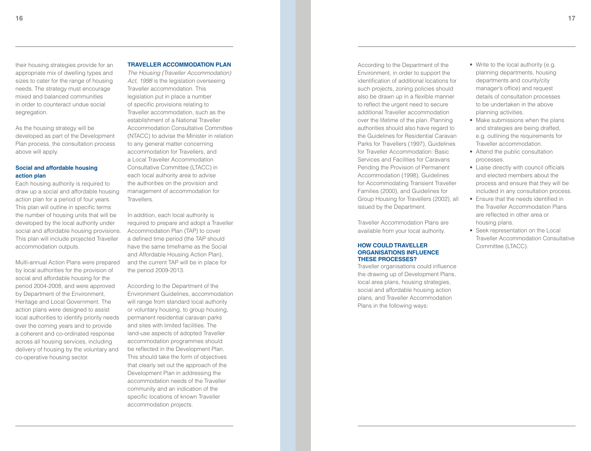their housing strategies provide for an appropriate mix of dwelling types and sizes to cater for the range of housing needs. The strategy must encourage mixed and balanced communities in order to counteract undue social segregation.

As the housing strategy will be developed as part of the Development Plan process, the consultation process above will apply.

#### **Social and affordable housing action plan**

Each housing authority is required to draw up a social and affordable housing action plan for a period of four years. This plan will outline in specific terms the number of housing units that will be developed by the local authority under social and affordable housing provisions. This plan will include projected Traveller accommodation outputs.

Multi-annual Action Plans were prepared by local authorities for the provision of social and affordable housing for the period 2004-2008, and were approved by Department of the Environment, Heritage and Local Government. The action plans were designed to assist local authorities to identify priority needs over the coming years and to provide a coherent and co-ordinated response across all housing services, including delivery of housing by the voluntary and co-operative housing sector.

#### **TRAVELLER ACCOMMODATION PLAN**

The Housing (Traveller Accommodation) Act, 1998 is the legislation overseeing Traveller accommodation. This legislation put in place a number of specific provisions relating to Traveller accommodation, such as the establishment of a National Traveller Accommodation Consultative Committee (NTACC) to advise the Minister in relation to any general matter concerning accommodation for Travellers, and a Local Traveller Accommodation Consultative Committee (LTACC) in each local authority area to advise the authorities on the provision and management of accommodation for Travellers.

In addition, each local authority is required to prepare and adopt a Traveller Accommodation Plan (TAP) to cover a defined time period (the TAP should have the same timeframe as the Social and Affordable Housing Action Plan), and the current TAP will be in place for the period 2009-2013.

According to the Department of the Environment Guidelines, accommodation will range from standard local authority or voluntary housing, to group housing, permanent residential caravan parks and sites with limited facilities. The land-use aspects of adopted Traveller accommodation programmes should be reflected in the Development Plan. This should take the form of objectives that clearly set out the approach of the Development Plan in addressing the accommodation needs of the Traveller community and an indication of the specific locations of known Traveller accommodation projects.

According to the Department of the Environment, in order to support the identification of additional locations for such projects, zoning policies should also be drawn up in a flexible manner to reflect the urgent need to secure additional Traveller accommodation over the lifetime of the plan. Planning authorities should also have regard to the Guidelines for Residential Caravan Parks for Travellers (1997), Guidelines for Traveller Accommodation: Basic Services and Facilities for Caravans Pending the Provision of Permanent Accommodation (1998), Guidelines for Accommodating Transient Traveller Families (2000), and Guidelines for Group Housing for Travellers (2002), all issued by the Department.

Traveller Accommodation Plans are available from your local authority.

#### **HOW COULD TRAVELLER ORGANISATIONS INFLUENCE THESE PROCESSES?**

Traveller organisations could influence the drawing up of Development Plans, local area plans, housing strategies, social and affordable housing action plans, and Traveller Accommodation Plans in the following ways:

- Write to the local authority (e.g. planning departments, housing departments and county/city manager's office) and request details of consultation processes to be undertaken in the above planning activities.
- Make submissions when the plans and strategies are being drafted, e.g. outlining the requirements for Traveller accommodation.
- Attend the public consultation processes.
- Liaise directly with council officials and elected members about the process and ensure that they will be included in any consultation process.
- Ensure that the needs identified in the Traveller Accommodation Plans are reflected in other area or housing plans.
- Seek representation on the Local Traveller Accommodation Consultative Committee (LTACC).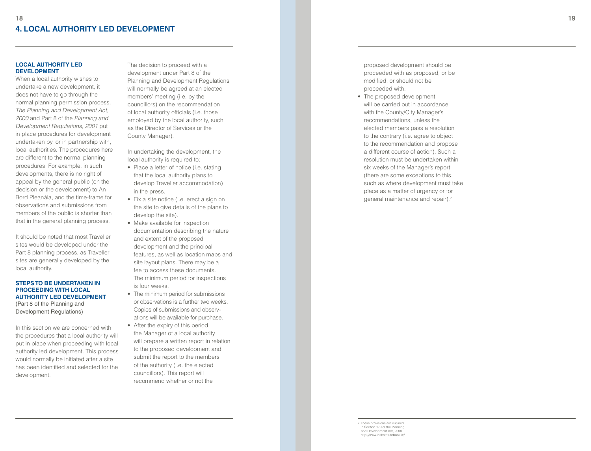# **LOCAL AUTHORITY LED** DEVELOPM

When a local authority wishes to undertake a new development, it does not have to go through the normal planning permission process. The Planning and Development Act, 2000 and Part 8 of the Planning and Development Regulations, 2001 put in place procedures for development undertaken by, or in partnership with, local authorities. The procedures here are different to the normal planning procedures. For example, in such developments, there is no right of appeal by the general public (on the decision or the development) to An Bord Pleanála, and the time-frame for observations and submissions from members of the public is shorter than that in the general planning process.

It should be noted that most Traveller sites would be developed under the Part 8 planning process, as Traveller sites are generally developed by the local authority.

## STEPS TO BE UNDERTAKEN IN **PROCEEDING WITH LOCAL AUTHORITY LED DEVELOPMENT** (Part 8 of the Planning and Development Regulations)

In this section we are concerned with the procedures that a local authority will put in place when proceeding with local authority led development. This process would normally be initiated after a site has been identified and selected for the development.

The decision to proceed with a development under Part 8 of the Planning and Development Regulations will normally be agreed at an elected members' meeting (i.e. by the councillors) on the recommendation of local authority officials (i.e. those employed by the local authority, such as the Director of Services or the County Manager). In undertaking the development, the

local authority is required to:

- Place a letter of notice (i.e. stating that the local authority plans to develop Traveller accommodation) in the press.
- Fix a site notice (i.e. erect a sign on the site to give details of the plans to develop the site).
- Make available for inspection documentation describing the nature and extent of the proposed development and the principal features, as well as location maps and site layout plans. There may be a fee to access these documents. The minimum period for inspections is four weeks.
- The minimum period for submissions or observations is a further two weeks. Copies of submissions and observ- ations will be available for purchase.
- After the expiry of this period, the Manager of a local authority will prepare a written report in relation to the proposed development and submit the report to the members of the authority (i.e. the elected councillors). This report will recommend whether or not the

 proposed development should be proceeded with as proposed, or be modified, or should not be proceeded with.

• The proposed development will be carried out in accordance with the County/City Manager's recommendations, unless the elected members pass a resolution to the contrary (i.e. agree to object to the recommendation and propose a different course of action). Such a resolution must be undertaken within six weeks of the Manager's report (there are some exceptions to this, such as where development must take place as a matter of urgency or for general maintenance and repair). 7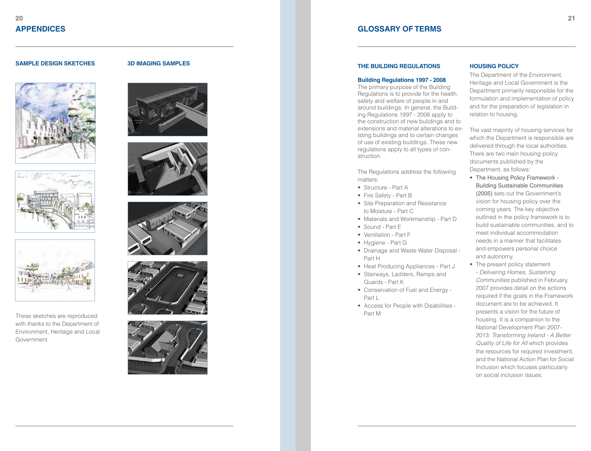## **SAMPLE DESIGN SKETCHES**







These sketches are reproduced with thanks to the Department of Environment, Heritage and Local Government.

#### **3D IMAGING SAM PLE S**











# **GLOSSARY OF TERMS**

#### **THE BUIL DING REG ULATION S**

#### **Building Regulations 1997 - 2008**

The primary purpose of the Building Regulations is to provide for the health, safety and welfare of people in and around buildings. In general, the Build ing Regulations 1997 - 2008 apply to the construction of new buildings and to extensions and material alterations to ex isting buildings and to certain changes of use of existing buildings. These new regulations apply to all types of con struction.

The Regulations address the following matters:

- Structure Part A
- Fire Safety Part B
- Site Preparation and Resistance to Moisture - Part C
- Materials and Workmanship Part D
- Sound Part E
- Ventilation Part F
- Hygiene Part G
- Drainage and Waste Water Disposal -Part H
- Heat Producing Appliances Part J
- Stairways, Ladders, Ramps and Guards - Part K
- Conservation of Fuel and Energy -Part L
- Access for People with Disabilities -Part M

#### **HOUSING POLICY**

The Department of the Environment, Heritage and Local Government is the Department primarily responsible for the formulation and implementation of policy and for the preparation of legislation in relation to housing.

The vast majority of housing services for which the Department is responsible are delivered through the local authorities. There are two main housing policy documents published by the Department, as follows:

- The Housing Policy Framework -Building Sustainable Communities (2005) sets out the Government's vision for housing policy over the coming years. The key objective outlined in the policy framework is to build sustainable communities, and to meet individual accommodation needs in a manner that facilitates and empowers personal choice and autonomy.
- The present policy statement - Delivering Homes, Sustaining Communities published in February, 2007 provides detail on the actions required if the goals in the Framework document are to be achieved. It presents a vision for the future of housing. It is a companion to the National Development Plan 2007- 2013: Transforming Ireland - A Better Quality of Life for All which provides the resources for required investment, and the National Action Plan for Social Inclusion which focuses particularly on social inclusion issues.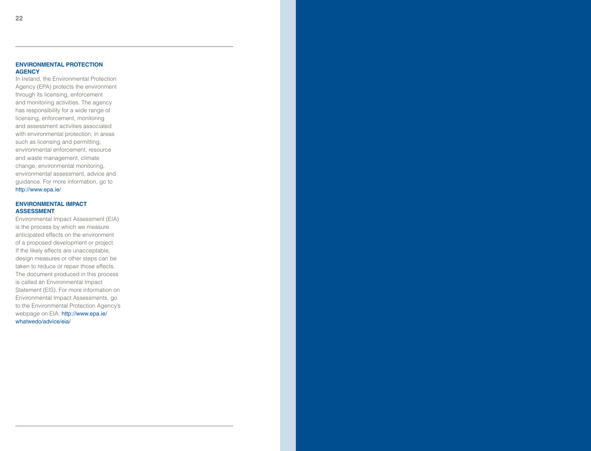In Ireland, the Environmental Protection Agency (EPA) protects the environment through its licensing, enforcement and monitoring activities. The agency has responsibility for a wide range of licensing, enforcement, monitoring and assessment activities associated with environmental protection, in areas such as licensing and permitting, environmental enforcement, resource and waste management, climate change, environmental monitoring, environmental assessment, advice and guidance. For more information, go to http://www.epa.ie/

#### **ENVIRONMENTAL IMPACT ASSESSM**

Environmental Impact Assessment (E IA) is the process by which we measure anticipated effects on the environment of a proposed development or project. If the likely effects are unacceptable, design measures or other steps can be taken to reduce or repair those effects. The document produced in this process is called an Environmental Impact Statement (E IS). For more information on Environmental Impact Assessments, go to the Environmental Protection Agency's webpage on EIA: http://www.epa.ie/ whatwedo/advice/eia/